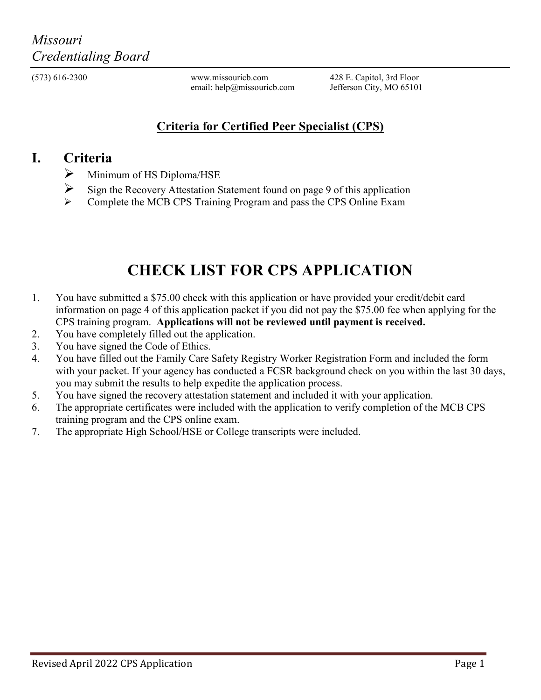(573) 616-2300 www.missouricb.com 428 E. Capitol, 3rd Floor<br>email: help@missouricb.com Jefferson City, MO 65101 email: help@missouricb.com

## **Criteria for Certified Peer Specialist (CPS)**

## **I. Criteria**

- $\triangleright$  Minimum of HS Diploma/HSE
- $\triangleright$  Sign the Recovery Attestation Statement found on page 9 of this application
- Complete the MCB CPS Training Program and pass the CPS Online Exam

## **CHECK LIST FOR CPS APPLICATION**

- 1. You have submitted a \$75.00 check with this application or have provided your credit/debit card information on page 4 of this application packet if you did not pay the \$75.00 fee when applying for the CPS training program. **Applications will not be reviewed until payment is received.**
- 2. You have completely filled out the application.
- 3. You have signed the Code of Ethics.
- 4. You have filled out the Family Care Safety Registry Worker Registration Form and included the form with your packet. If your agency has conducted a FCSR background check on you within the last 30 days, you may submit the results to help expedite the application process.
- 5. You have signed the recovery attestation statement and included it with your application.
- 6. The appropriate certificates were included with the application to verify completion of the MCB CPS training program and the CPS online exam.
- 7. The appropriate High School/HSE or College transcripts were included.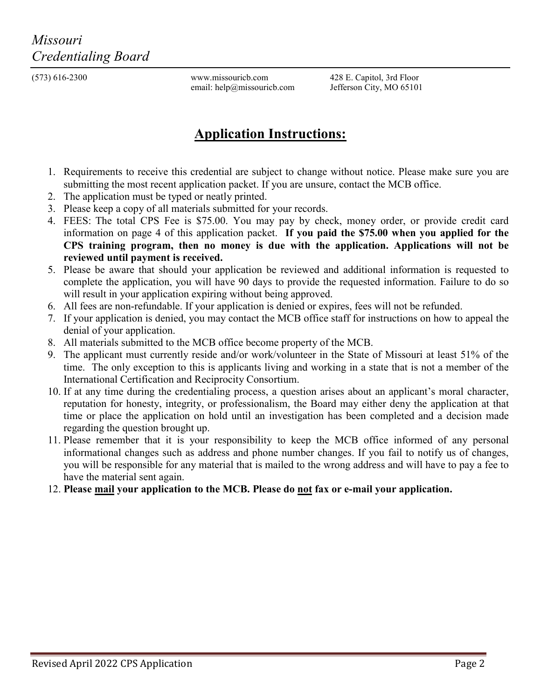(573) 616-2300 www.missouricb.com 428 E. Capitol, 3rd Floor<br>email: help@missouricb.com Jefferson City, MO 65101 email: help@missouricb.com

## **Application Instructions:**

- 1. Requirements to receive this credential are subject to change without notice. Please make sure you are submitting the most recent application packet. If you are unsure, contact the MCB office.
- 2. The application must be typed or neatly printed.
- 3. Please keep a copy of all materials submitted for your records.
- 4. FEES: The total CPS Fee is \$75.00. You may pay by check, money order, or provide credit card information on page 4 of this application packet. **If you paid the \$75.00 when you applied for the CPS training program, then no money is due with the application. Applications will not be reviewed until payment is received.**
- 5. Please be aware that should your application be reviewed and additional information is requested to complete the application, you will have 90 days to provide the requested information. Failure to do so will result in your application expiring without being approved.
- 6. All fees are non-refundable. If your application is denied or expires, fees will not be refunded.
- 7. If your application is denied, you may contact the MCB office staff for instructions on how to appeal the denial of your application.
- 8. All materials submitted to the MCB office become property of the MCB.
- 9. The applicant must currently reside and/or work/volunteer in the State of Missouri at least 51% of the time. The only exception to this is applicants living and working in a state that is not a member of the International Certification and Reciprocity Consortium.
- 10. If at any time during the credentialing process, a question arises about an applicant's moral character, reputation for honesty, integrity, or professionalism, the Board may either deny the application at that time or place the application on hold until an investigation has been completed and a decision made regarding the question brought up.
- 11. Please remember that it is your responsibility to keep the MCB office informed of any personal informational changes such as address and phone number changes. If you fail to notify us of changes, you will be responsible for any material that is mailed to the wrong address and will have to pay a fee to have the material sent again.
- 12. **Please mail your application to the MCB. Please do not fax or e-mail your application.**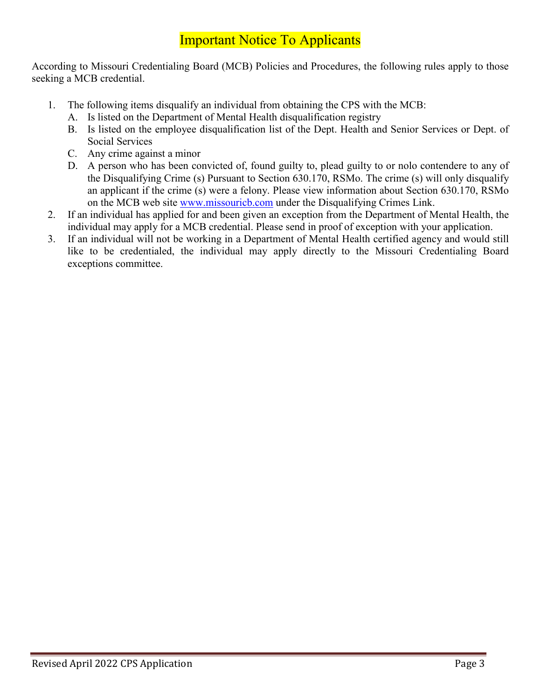## Important Notice To Applicants

According to Missouri Credentialing Board (MCB) Policies and Procedures, the following rules apply to those seeking a MCB credential.

- 1. The following items disqualify an individual from obtaining the CPS with the MCB:
	- A. Is listed on the Department of Mental Health disqualification registry
	- B. Is listed on the employee disqualification list of the Dept. Health and Senior Services or Dept. of Social Services
	- C. Any crime against a minor
	- D. A person who has been convicted of, found guilty to, plead guilty to or nolo contendere to any of the Disqualifying Crime (s) Pursuant to Section 630.170, RSMo. The crime (s) will only disqualify an applicant if the crime (s) were a felony. Please view information about Section 630.170, RSMo on the MCB web site [www.missouricb.com](http://www.missouricb.com/) under the Disqualifying Crimes Link.
- 2. If an individual has applied for and been given an exception from the Department of Mental Health, the individual may apply for a MCB credential. Please send in proof of exception with your application.
- 3. If an individual will not be working in a Department of Mental Health certified agency and would still like to be credentialed, the individual may apply directly to the Missouri Credentialing Board exceptions committee.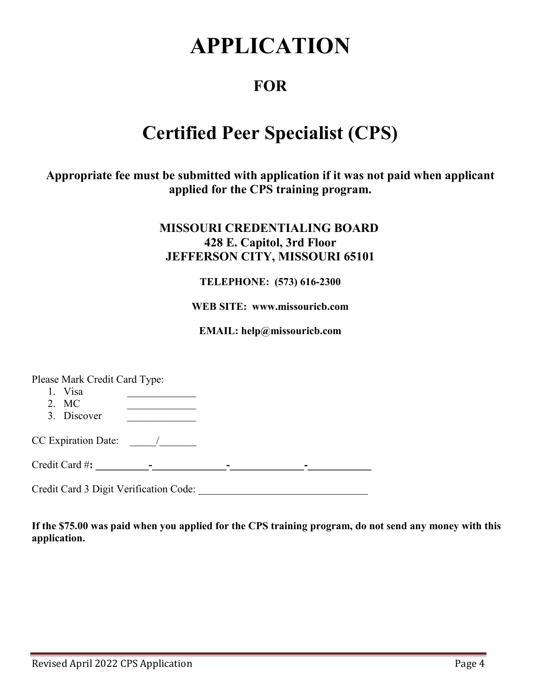# **APPLICATION**

## **FOR**

## **Certified Peer Specialist (CPS)**

**Appropriate fee must be submitted with application if it was not paid when applicant applied for the CPS training program.**

### **MISSOURI CREDENTIALING BOARD 428 E. Capitol, 3rd Floor JEFFERSON CITY, MISSOURI 65101**

#### **TELEPHONE: (573) 616-2300**

#### **WEB SITE: www.missouricb.com**

**EMAIL: help@missouricb.com**

Please Mark Credit Card Type:

1. Visa 2. MC 3. Discover CC Expiration Date: \_\_\_\_\_/\_\_\_\_\_\_\_

Credit Card #**: \_\_\_\_\_\_\_\_\_\_-\_\_\_\_\_\_\_\_\_\_\_\_\_\_-\_\_\_\_\_\_\_\_\_\_\_\_\_\_-\_\_\_\_\_\_\_\_\_\_\_\_**

Credit Card 3 Digit Verification Code: \_\_\_\_\_\_\_\_\_\_\_\_\_\_\_\_\_\_\_\_\_\_\_\_\_\_\_\_\_\_\_\_

**If the \$75.00 was paid when you applied for the CPS training program, do not send any money with this application.**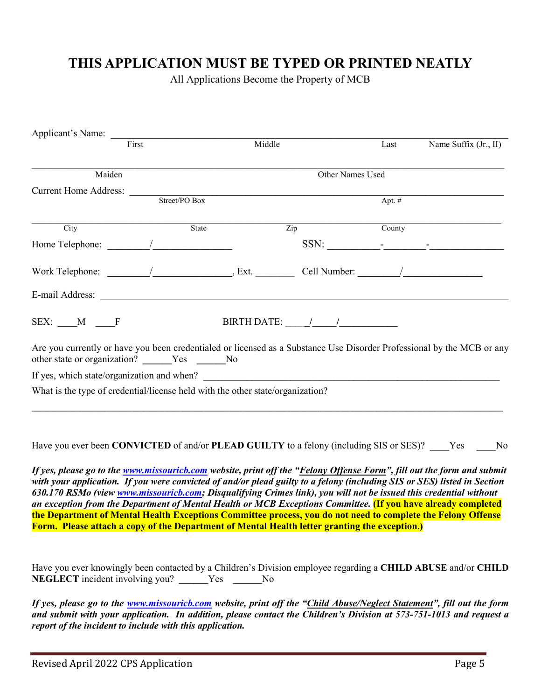## **THIS APPLICATION MUST BE TYPED OR PRINTED NEATLY**

All Applications Become the Property of MCB

| Applicant's Name:                                                                                                                                                         |               |                                                                                                                                                                                                                                                                                                                                                                                                                     |                                    |          |                       |
|---------------------------------------------------------------------------------------------------------------------------------------------------------------------------|---------------|---------------------------------------------------------------------------------------------------------------------------------------------------------------------------------------------------------------------------------------------------------------------------------------------------------------------------------------------------------------------------------------------------------------------|------------------------------------|----------|-----------------------|
| First                                                                                                                                                                     |               | Middle                                                                                                                                                                                                                                                                                                                                                                                                              |                                    | Last     | Name Suffix (Jr., II) |
| Maiden                                                                                                                                                                    |               |                                                                                                                                                                                                                                                                                                                                                                                                                     | Other Names Used                   |          |                       |
|                                                                                                                                                                           |               |                                                                                                                                                                                                                                                                                                                                                                                                                     |                                    |          |                       |
|                                                                                                                                                                           | Street/PO Box |                                                                                                                                                                                                                                                                                                                                                                                                                     |                                    | Apt. $#$ |                       |
| City                                                                                                                                                                      | State         | $\overline{\mathrm{Zip}}$                                                                                                                                                                                                                                                                                                                                                                                           |                                    | County   |                       |
|                                                                                                                                                                           |               |                                                                                                                                                                                                                                                                                                                                                                                                                     | SSN: $\qquad \qquad \qquad \qquad$ |          |                       |
|                                                                                                                                                                           |               |                                                                                                                                                                                                                                                                                                                                                                                                                     |                                    |          |                       |
| E-mail Address:                                                                                                                                                           |               |                                                                                                                                                                                                                                                                                                                                                                                                                     |                                    |          |                       |
| SEX: M F                                                                                                                                                                  |               | BIRTH DATE: $\frac{1}{\sqrt{1-\frac{1}{2}}}\frac{1}{\sqrt{1-\frac{1}{2}}}\frac{1}{\sqrt{1-\frac{1}{2}}}\frac{1}{\sqrt{1-\frac{1}{2}}}\frac{1}{\sqrt{1-\frac{1}{2}}}\frac{1}{\sqrt{1-\frac{1}{2}}}\frac{1}{\sqrt{1-\frac{1}{2}}}\frac{1}{\sqrt{1-\frac{1}{2}}}\frac{1}{\sqrt{1-\frac{1}{2}}}\frac{1}{\sqrt{1-\frac{1}{2}}}\frac{1}{\sqrt{1-\frac{1}{2}}}\frac{1}{\sqrt{1-\frac{1}{2}}}\frac{1}{\sqrt{1-\frac{1}{2}}$ |                                    |          |                       |
| Are you currently or have you been credentialed or licensed as a Substance Use Disorder Professional by the MCB or any<br>other state or organization? ______Yes ______No |               |                                                                                                                                                                                                                                                                                                                                                                                                                     |                                    |          |                       |
|                                                                                                                                                                           |               |                                                                                                                                                                                                                                                                                                                                                                                                                     |                                    |          |                       |
| What is the type of credential/license held with the other state/organization?                                                                                            |               |                                                                                                                                                                                                                                                                                                                                                                                                                     |                                    |          |                       |
|                                                                                                                                                                           |               |                                                                                                                                                                                                                                                                                                                                                                                                                     |                                    |          |                       |
|                                                                                                                                                                           |               |                                                                                                                                                                                                                                                                                                                                                                                                                     |                                    |          |                       |

Have you ever been **CONVICTED** of and/or **PLEAD GUILTY** to a felony (including SIS or SES)? **\_\_\_\_**Yes **\_\_\_\_**No

*If yes, please go to the [www.missouricb.com](http://www.missouricb.com/) website, print off the "Felony Offense Form", fill out the form and submit with your application. If you were convicted of and/or plead guilty to a felony (including SIS or SES) listed in Section 630.170 RSMo (vie[w www.missouricb.com;](http://www.missouricb.com/) Disqualifying Crimes link), you will not be issued this credential without an exception from the Department of Mental Health or MCB Exceptions Committee.* **(If you have already completed the Department of Mental Health Exceptions Committee process, you do not need to complete the Felony Offense Form. Please attach a copy of the Department of Mental Health letter granting the exception.)** 

Have you ever knowingly been contacted by a Children's Division employee regarding a **CHILD ABUSE** and/or **CHILD NEGLECT** incident involving you? **Wes** No

*If yes, please go to the [www.missouricb.com](http://www.missouricb.com/) website, print off the "Child Abuse/Neglect Statement", fill out the form and submit with your application. In addition, please contact the Children's Division at 573-751-1013 and request a report of the incident to include with this application.*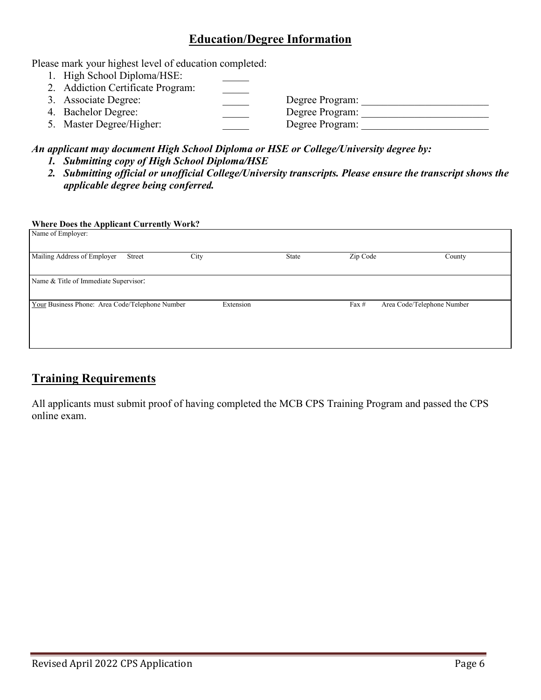#### **Education/Degree Information**

Please mark your highest level of education completed:

- 1. High School Diploma/HSE:
- 2. Addiction Certificate Program: 3. Associate Degree: \_\_\_\_\_ Degree Program: \_\_\_\_\_\_\_\_\_\_\_\_\_\_\_\_\_\_\_\_\_\_\_\_ 4. Bachelor Degree: \_\_\_\_\_ Degree Program: \_\_\_\_\_\_\_\_\_\_\_\_\_\_\_\_\_\_\_\_\_\_\_\_ 5. Master Degree/Higher: Degree Program: Degree Program:

#### *An applicant may document High School Diploma or HSE or College/University degree by:*

- *1. Submitting copy of High School Diploma/HSE*
- *2. Submitting official or unofficial College/University transcripts. Please ensure the transcript shows the applicable degree being conferred.*

#### **Where Does the Applicant Currently Work?**

| Name of Employer:                               |        |           |       |          |                            |        |
|-------------------------------------------------|--------|-----------|-------|----------|----------------------------|--------|
| Mailing Address of Employer                     | Street | City      | State | Zip Code |                            | County |
| Name & Title of Immediate Supervisor:           |        |           |       |          |                            |        |
| Your Business Phone: Area Code/Telephone Number |        | Extension |       | Fax #    | Area Code/Telephone Number |        |

### **Training Requirements**

All applicants must submit proof of having completed the MCB CPS Training Program and passed the CPS online exam.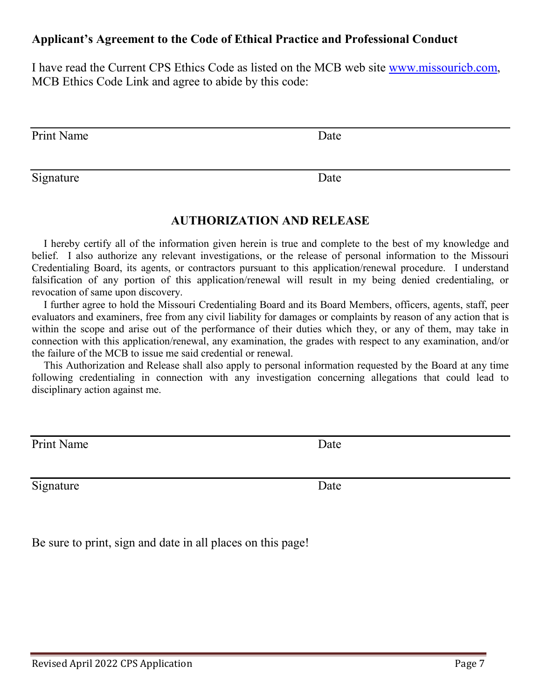#### **Applicant's Agreement to the Code of Ethical Practice and Professional Conduct**

I have read the Current CPS Ethics Code as listed on the MCB web site [www.missouricb.com,](http://www.missouricb.com/) MCB Ethics Code Link and agree to abide by this code:

Print Name Date

Signature Date

#### **AUTHORIZATION AND RELEASE**

I hereby certify all of the information given herein is true and complete to the best of my knowledge and belief. I also authorize any relevant investigations, or the release of personal information to the Missouri Credentialing Board, its agents, or contractors pursuant to this application/renewal procedure. I understand falsification of any portion of this application/renewal will result in my being denied credentialing, or revocation of same upon discovery.

I further agree to hold the Missouri Credentialing Board and its Board Members, officers, agents, staff, peer evaluators and examiners, free from any civil liability for damages or complaints by reason of any action that is within the scope and arise out of the performance of their duties which they, or any of them, may take in connection with this application/renewal, any examination, the grades with respect to any examination, and/or the failure of the MCB to issue me said credential or renewal.

This Authorization and Release shall also apply to personal information requested by the Board at any time following credentialing in connection with any investigation concerning allegations that could lead to disciplinary action against me.

Print Name Date

Signature Date

Be sure to print, sign and date in all places on this page!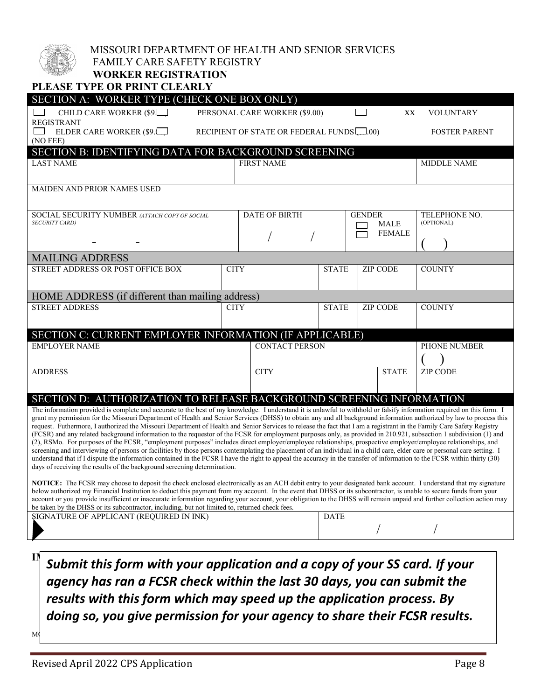| b <sub>it)</sub> |
|------------------|
|                  |

#### MISSOURI DEPARTMENT OF HEALTH AND SENIOR SERVICES

#### FAMILY CARE SAFETY REGISTRY **WORKER REGISTRATION**

| PLEASE TYPE OR PRINT CLEARLY                                                                                                                                                                                                                                                                                                                  |             |                                           |              |                              |                 |                             |
|-----------------------------------------------------------------------------------------------------------------------------------------------------------------------------------------------------------------------------------------------------------------------------------------------------------------------------------------------|-------------|-------------------------------------------|--------------|------------------------------|-----------------|-----------------------------|
| SECTION A: WORKER TYPE (CHECK ONE BOX ONLY)                                                                                                                                                                                                                                                                                                   |             |                                           |              |                              |                 |                             |
| CHILD CARE WORKER (\$9.                                                                                                                                                                                                                                                                                                                       |             | PERSONAL CARE WORKER (\$9.00)             |              |                              | XX              | VOLUNTARY                   |
| <b>REGISTRANT</b><br>ELDER CARE WORKER (\$9.                                                                                                                                                                                                                                                                                                  |             | RECIPIENT OF STATE OR FEDERAL FUNDS [.00) |              |                              |                 | <b>FOSTER PARENT</b>        |
| (NO FEE)                                                                                                                                                                                                                                                                                                                                      |             |                                           |              |                              |                 |                             |
| SECTION B: IDENTIFYING DATA FOR BACKGROUND SCREENING                                                                                                                                                                                                                                                                                          |             |                                           |              |                              |                 |                             |
| <b>LAST NAME</b>                                                                                                                                                                                                                                                                                                                              |             | <b>FIRST NAME</b>                         |              |                              |                 | <b>MIDDLE NAME</b>          |
|                                                                                                                                                                                                                                                                                                                                               |             |                                           |              |                              |                 |                             |
| <b>MAIDEN AND PRIOR NAMES USED</b>                                                                                                                                                                                                                                                                                                            |             |                                           |              |                              |                 |                             |
|                                                                                                                                                                                                                                                                                                                                               |             |                                           |              |                              |                 |                             |
| SOCIAL SECURITY NUMBER (ATTACH COPY OF SOCIAL<br><b>SECURITY CARD)</b>                                                                                                                                                                                                                                                                        |             | <b>DATE OF BIRTH</b>                      |              | <b>GENDER</b><br><b>MALE</b> |                 | TELEPHONE NO.<br>(OPTIONAL) |
|                                                                                                                                                                                                                                                                                                                                               |             |                                           |              |                              | <b>FEMALE</b>   |                             |
|                                                                                                                                                                                                                                                                                                                                               |             |                                           |              |                              |                 |                             |
| <b>MAILING ADDRESS</b>                                                                                                                                                                                                                                                                                                                        |             |                                           |              |                              |                 |                             |
| STREET ADDRESS OR POST OFFICE BOX                                                                                                                                                                                                                                                                                                             | <b>CITY</b> |                                           | <b>STATE</b> |                              | <b>ZIP CODE</b> | <b>COUNTY</b>               |
|                                                                                                                                                                                                                                                                                                                                               |             |                                           |              |                              |                 |                             |
| HOME ADDRESS (if different than mailing address)                                                                                                                                                                                                                                                                                              |             |                                           |              |                              |                 |                             |
| <b>STREET ADDRESS</b>                                                                                                                                                                                                                                                                                                                         | <b>CITY</b> |                                           | <b>STATE</b> |                              | <b>ZIP CODE</b> | <b>COUNTY</b>               |
|                                                                                                                                                                                                                                                                                                                                               |             |                                           |              |                              |                 |                             |
| SECTION C: CURRENT EMPLOYER INFORMATION (IF APPLICABLE)                                                                                                                                                                                                                                                                                       |             |                                           |              |                              |                 |                             |
| <b>EMPLOYER NAME</b>                                                                                                                                                                                                                                                                                                                          |             | <b>CONTACT PERSON</b>                     |              |                              |                 | PHONE NUMBER                |
|                                                                                                                                                                                                                                                                                                                                               |             |                                           |              |                              |                 |                             |
| <b>ADDRESS</b>                                                                                                                                                                                                                                                                                                                                |             | <b>CITY</b>                               |              |                              | <b>STATE</b>    | <b>ZIP CODE</b>             |
|                                                                                                                                                                                                                                                                                                                                               |             |                                           |              |                              |                 |                             |
| SECTION D: AUTHORIZATION TO RELEASE BACKGROUND SCREENING INFORMATION                                                                                                                                                                                                                                                                          |             |                                           |              |                              |                 |                             |
| The information provided is complete and accurate to the best of my knowledge. I understand it is unlawful to withhold or falsify information required on this form. I<br>grant my permission for the Missouri Department of Health and Senior Services (DHSS) to obtain any and all background information authorized by law to process this |             |                                           |              |                              |                 |                             |
| request. Futhermore, I authorized the Missouri Department of Health and Senior Services to release the fact that I am a registrant in the Family Care Safety Registry                                                                                                                                                                         |             |                                           |              |                              |                 |                             |
| (FCSR) and any related background information to the requestor of the FCSR for employment purposes only, as provided in 210.921, subsection 1 subdivision (1) and<br>(2), RSMo. For purposes of the FCSR, "employment purposes" includes direct employer/employee relationships, prospective employer/employee relationships, and             |             |                                           |              |                              |                 |                             |
| screening and interviewing of persons or facilities by those persons contemplating the placement of an individual in a child care, elder care or personal care setting. I                                                                                                                                                                     |             |                                           |              |                              |                 |                             |
| understand that if I dispute the information contained in the FCSR I have the right to appeal the accuracy in the transfer of information to the FCSR within thirty (30)<br>days of receiving the results of the background screening determination.                                                                                          |             |                                           |              |                              |                 |                             |
|                                                                                                                                                                                                                                                                                                                                               |             |                                           |              |                              |                 |                             |
| NOTICE: The FCSR may choose to deposit the check enclosed electronically as an ACH debit entry to your designated bank account. I understand that my signature<br>below authorized my Financial Institution to deduct this payment from my account. In the event that DHSS or its subcontractor, is unable to secure funds from your          |             |                                           |              |                              |                 |                             |
| account or you provide insufficient or inaccurate information regarding your account, your obligation to the DHSS will remain unpaid and further collection action may<br>be taken by the DHSS or its subcontractor, including, but not limited to, returned check fees.                                                                      |             |                                           |              |                              |                 |                             |
| SIGNATURE OF APPLICANT (REQUIRED IN INK)                                                                                                                                                                                                                                                                                                      |             | <b>DATE</b>                               |              |                              |                 |                             |
|                                                                                                                                                                                                                                                                                                                                               |             |                                           |              |                              |                 |                             |
|                                                                                                                                                                                                                                                                                                                                               |             |                                           |              |                              |                 |                             |

 $\prod_{i=1}^N C_{i,k}$ Submit this form with your application and a copy of your SS card. If your • Contact 1-866-422-6872 (toll-free) if you have questions on how to complete this form agency has ran a FCSR check within the last 30 days, you can submit the • Send completed registration form, copy of Social Security card and required fee to: results with this form which may speed up the application process. By Attn: Fee Receipts doing so, you give permission for your agency to share their FCSR results.

 $M$